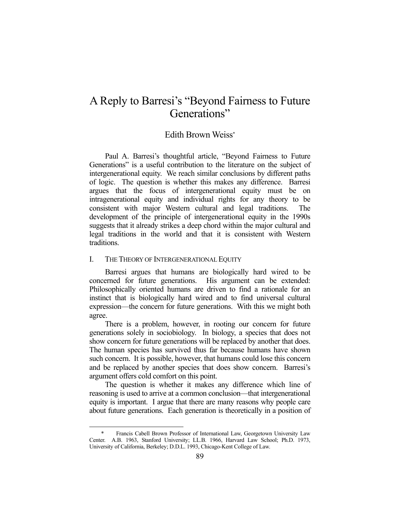## A Reply to Barresi's "Beyond Fairness to Future Generations"

## Edith Brown Weiss\*

 Paul A. Barresi's thoughtful article, "Beyond Fairness to Future Generations" is a useful contribution to the literature on the subject of intergenerational equity. We reach similar conclusions by different paths of logic. The question is whether this makes any difference. Barresi argues that the focus of intergenerational equity must be on intragenerational equity and individual rights for any theory to be consistent with major Western cultural and legal traditions. The development of the principle of intergenerational equity in the 1990s suggests that it already strikes a deep chord within the major cultural and legal traditions in the world and that it is consistent with Western traditions.

## I. THE THEORY OF INTERGENERATIONAL EQUITY

1

 Barresi argues that humans are biologically hard wired to be concerned for future generations. His argument can be extended: Philosophically oriented humans are driven to find a rationale for an instinct that is biologically hard wired and to find universal cultural expression—the concern for future generations. With this we might both agree.

 There is a problem, however, in rooting our concern for future generations solely in sociobiology. In biology, a species that does not show concern for future generations will be replaced by another that does. The human species has survived thus far because humans have shown such concern. It is possible, however, that humans could lose this concern and be replaced by another species that does show concern. Barresi's argument offers cold comfort on this point.

 The question is whether it makes any difference which line of reasoning is used to arrive at a common conclusion—that intergenerational equity is important. I argue that there are many reasons why people care about future generations. Each generation is theoretically in a position of

Francis Cabell Brown Professor of International Law, Georgetown University Law Center. A.B. 1963, Stanford University; LL.B. 1966, Harvard Law School; Ph.D. 1973, University of California, Berkeley; D.D.L. 1993, Chicago-Kent College of Law.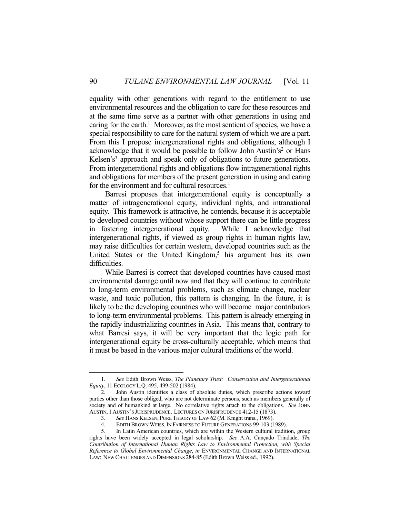equality with other generations with regard to the entitlement to use environmental resources and the obligation to care for these resources and at the same time serve as a partner with other generations in using and caring for the earth.<sup>1</sup> Moreover, as the most sentient of species, we have a special responsibility to care for the natural system of which we are a part. From this I propose intergenerational rights and obligations, although I acknowledge that it would be possible to follow John Austin's<sup>2</sup> or Hans Kelsen's<sup>3</sup> approach and speak only of obligations to future generations. From intergenerational rights and obligations flow intragenerational rights and obligations for members of the present generation in using and caring for the environment and for cultural resources.<sup>4</sup>

 Barresi proposes that intergenerational equity is conceptually a matter of intragenerational equity, individual rights, and intranational equity. This framework is attractive, he contends, because it is acceptable to developed countries without whose support there can be little progress in fostering intergenerational equity. While I acknowledge that intergenerational rights, if viewed as group rights in human rights law, may raise difficulties for certain western, developed countries such as the United States or the United Kingdom, $5$  his argument has its own difficulties.

 While Barresi is correct that developed countries have caused most environmental damage until now and that they will continue to contribute to long-term environmental problems, such as climate change, nuclear waste, and toxic pollution, this pattern is changing. In the future, it is likely to be the developing countries who will become major contributors to long-term environmental problems. This pattern is already emerging in the rapidly industrializing countries in Asia. This means that, contrary to what Barresi says, it will be very important that the logic path for intergenerational equity be cross-culturally acceptable, which means that it must be based in the various major cultural traditions of the world.

<u>.</u>

 <sup>1.</sup> *See* Edith Brown Weiss, *The Planetary Trust: Conservation and Intergenerational Equity*, 11 ECOLOGY L.Q. 495, 499-502 (1984).

 <sup>2.</sup> John Austin identifies a class of absolute duties, which prescribe actions toward parties other than those obliged, who are not determinate persons, such as members generally of society and of humankind at large. No correlative rights attach to the obligations. *See* JOHN AUSTIN, 1AUSTIN'S JURISPRUDENCE, LECTURES ON JURISPRUDENCE 412-15 (1873).

 <sup>3.</sup> *See* HANS KELSEN, PURE THEORY OF LAW 62 (M. Knight trans., 1969).

EDITH BROWN WEISS, IN FAIRNESS TO FUTURE GENERATIONS 99-103 (1989).

 <sup>5.</sup> In Latin American countries, which are within the Western cultural tradition, group rights have been widely accepted in legal scholarship. *See* A.A. Cançado Trindade, *The Contribution of International Human Rights Law to Environmental Protection, with Special Reference to Global Environmental Change*, *in* ENVIRONMENTAL CHANGE AND INTERNATIONAL LAW: NEW CHALLENGES AND DIMENSIONS 284-85 (Edith Brown Weiss ed., 1992).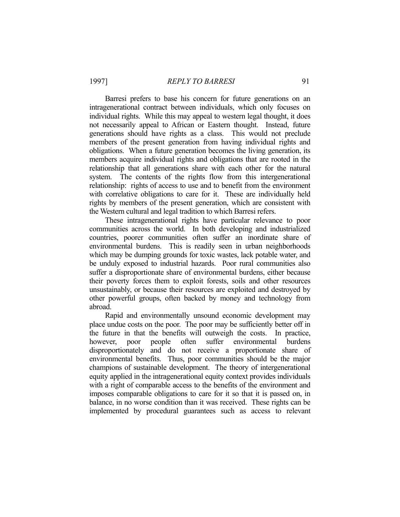Barresi prefers to base his concern for future generations on an intragenerational contract between individuals, which only focuses on individual rights. While this may appeal to western legal thought, it does not necessarily appeal to African or Eastern thought. Instead, future generations should have rights as a class. This would not preclude members of the present generation from having individual rights and obligations. When a future generation becomes the living generation, its members acquire individual rights and obligations that are rooted in the relationship that all generations share with each other for the natural system. The contents of the rights flow from this intergenerational relationship: rights of access to use and to benefit from the environment with correlative obligations to care for it. These are individually held rights by members of the present generation, which are consistent with the Western cultural and legal tradition to which Barresi refers.

 These intragenerational rights have particular relevance to poor communities across the world. In both developing and industrialized countries, poorer communities often suffer an inordinate share of environmental burdens. This is readily seen in urban neighborhoods which may be dumping grounds for toxic wastes, lack potable water, and be unduly exposed to industrial hazards. Poor rural communities also suffer a disproportionate share of environmental burdens, either because their poverty forces them to exploit forests, soils and other resources unsustainably, or because their resources are exploited and destroyed by other powerful groups, often backed by money and technology from abroad.

 Rapid and environmentally unsound economic development may place undue costs on the poor. The poor may be sufficiently better off in the future in that the benefits will outweigh the costs. In practice, however, poor people often suffer environmental burdens disproportionately and do not receive a proportionate share of environmental benefits. Thus, poor communities should be the major champions of sustainable development. The theory of intergenerational equity applied in the intragenerational equity context provides individuals with a right of comparable access to the benefits of the environment and imposes comparable obligations to care for it so that it is passed on, in balance, in no worse condition than it was received. These rights can be implemented by procedural guarantees such as access to relevant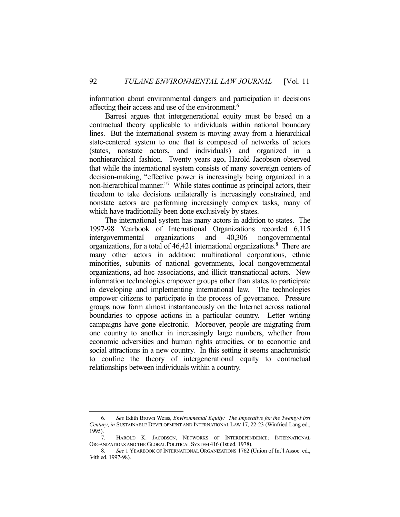information about environmental dangers and participation in decisions affecting their access and use of the environment.<sup>6</sup>

 Barresi argues that intergenerational equity must be based on a contractual theory applicable to individuals within national boundary lines. But the international system is moving away from a hierarchical state-centered system to one that is composed of networks of actors (states, nonstate actors, and individuals) and organized in a nonhierarchical fashion. Twenty years ago, Harold Jacobson observed that while the international system consists of many sovereign centers of decision-making, "effective power is increasingly being organized in a non-hierarchical manner."7 While states continue as principal actors, their freedom to take decisions unilaterally is increasingly constrained, and nonstate actors are performing increasingly complex tasks, many of which have traditionally been done exclusively by states.

 The international system has many actors in addition to states. The 1997-98 Yearbook of International Organizations recorded 6,115 intergovernmental organizations and 40,306 nongovernmental organizations, for a total of 46,421 international organizations.<sup>8</sup> There are many other actors in addition: multinational corporations, ethnic minorities, subunits of national governments, local nongovernmental organizations, ad hoc associations, and illicit transnational actors. New information technologies empower groups other than states to participate in developing and implementing international law. The technologies empower citizens to participate in the process of governance. Pressure groups now form almost instantaneously on the Internet across national boundaries to oppose actions in a particular country. Letter writing campaigns have gone electronic. Moreover, people are migrating from one country to another in increasingly large numbers, whether from economic adversities and human rights atrocities, or to economic and social attractions in a new country. In this setting it seems anachronistic to confine the theory of intergenerational equity to contractual relationships between individuals within a country.

 <sup>6.</sup> *See* Edith Brown Weiss, *Environmental Equity: The Imperative for the Twenty-First Century*, *in* SUSTAINABLE DEVELOPMENT AND INTERNATIONAL LAW 17, 22-23 (Winfried Lang ed., 1995).

 <sup>7.</sup> HAROLD K. JACOBSON, NETWORKS OF INTERDEPENDENCE: INTERNATIONAL ORGANIZATIONS AND THE GLOBAL POLITICAL SYSTEM 416 (1st ed. 1978).

 <sup>8.</sup> *See* 1 YEARBOOK OF INTERNATIONAL ORGANIZATIONS 1762 (Union of Int'l Assoc. ed., 34th ed. 1997-98).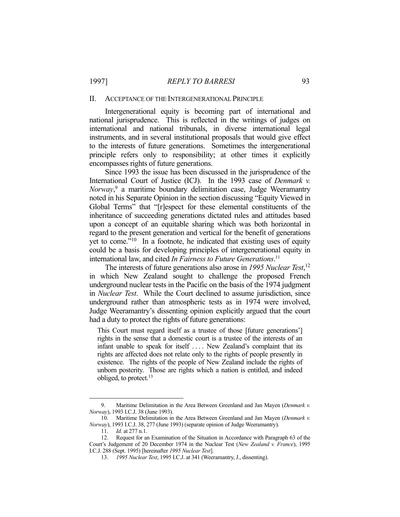## II. ACCEPTANCE OF THE INTERGENERATIONAL PRINCIPLE

 Intergenerational equity is becoming part of international and national jurisprudence. This is reflected in the writings of judges on international and national tribunals, in diverse international legal instruments, and in several institutional proposals that would give effect to the interests of future generations. Sometimes the intergenerational principle refers only to responsibility; at other times it explicitly encompasses rights of future generations.

 Since 1993 the issue has been discussed in the jurisprudence of the International Court of Justice (ICJ). In the 1993 case of *Denmark v. Norway*, 9 a maritime boundary delimitation case, Judge Weeramantry noted in his Separate Opinion in the section discussing "Equity Viewed in Global Terms" that "[r]espect for these elemental constituents of the inheritance of succeeding generations dictated rules and attitudes based upon a concept of an equitable sharing which was both horizontal in regard to the present generation and vertical for the benefit of generations yet to come."10 In a footnote, he indicated that existing uses of equity could be a basis for developing principles of intergenerational equity in international law, and cited *In Fairness to Future Generations*. 11

 The interests of future generations also arose in *1995 Nuclear Test*, 12 in which New Zealand sought to challenge the proposed French underground nuclear tests in the Pacific on the basis of the 1974 judgment in *Nuclear Test*. While the Court declined to assume jurisdiction, since underground rather than atmospheric tests as in 1974 were involved, Judge Weeramantry's dissenting opinion explicitly argued that the court had a duty to protect the rights of future generations:

This Court must regard itself as a trustee of those [future generations'] rights in the sense that a domestic court is a trustee of the interests of an infant unable to speak for itself .... New Zealand's complaint that its rights are affected does not relate only to the rights of people presently in existence. The rights of the people of New Zealand include the rights of unborn posterity. Those are rights which a nation is entitled, and indeed obliged, to protect.13

 <sup>9.</sup> Maritime Delimitation in the Area Between Greenland and Jan Mayen (*Denmark v. Norway*), 1993 I.C.J. 38 (June 1993).

 <sup>10.</sup> Maritime Delimitation in the Area Between Greenland and Jan Mayen (*Denmark v. Norway*), 1993 I.C.J. 38, 277 (June 1993) (separate opinion of Judge Weeramantry).

 <sup>11.</sup> *Id.* at 277 n.1.

 <sup>12.</sup> Request for an Examination of the Situation in Accordance with Paragraph 63 of the Court's Judgement of 20 December 1974 in the Nuclear Test (*New Zealand v. France*), 1995 I.C.J. 288 (Sept. 1995) [hereinafter *1995 Nuclear Test*].

 <sup>13.</sup> *1995 Nuclear Test*, 1995 I.C.J. at 341 (Weeramantry, J., dissenting).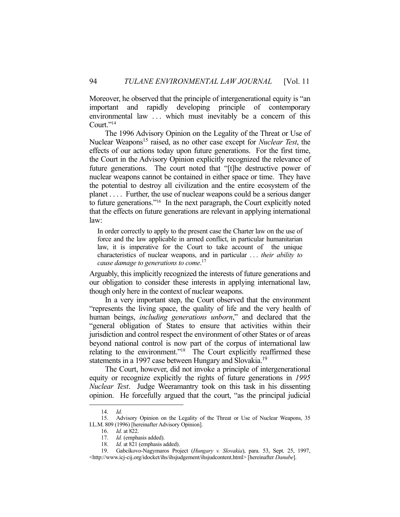Moreover, he observed that the principle of intergenerational equity is "an important and rapidly developing principle of contemporary environmental law ... which must inevitably be a concern of this Court."<sup>14</sup>

 The 1996 Advisory Opinion on the Legality of the Threat or Use of Nuclear Weapons<sup>15</sup> raised, as no other case except for *Nuclear Test*, the effects of our actions today upon future generations. For the first time, the Court in the Advisory Opinion explicitly recognized the relevance of future generations. The court noted that "[t]he destructive power of nuclear weapons cannot be contained in either space or time. They have the potential to destroy all civilization and the entire ecosystem of the planet . . . . Further, the use of nuclear weapons could be a serious danger to future generations."16 In the next paragraph, the Court explicitly noted that the effects on future generations are relevant in applying international law:

In order correctly to apply to the present case the Charter law on the use of force and the law applicable in armed conflict, in particular humanitarian law, it is imperative for the Court to take account of the unique characteristics of nuclear weapons, and in particular . . . *their ability to cause damage to generations to come*. 17

Arguably, this implicitly recognized the interests of future generations and our obligation to consider these interests in applying international law, though only here in the context of nuclear weapons.

 In a very important step, the Court observed that the environment "represents the living space, the quality of life and the very health of human beings, *including generations unborn*," and declared that the "general obligation of States to ensure that activities within their jurisdiction and control respect the environment of other States or of areas beyond national control is now part of the corpus of international law relating to the environment."<sup>18</sup> The Court explicitly reaffirmed these statements in a 1997 case between Hungary and Slovakia.<sup>19</sup>

 The Court, however, did not invoke a principle of intergenerational equity or recognize explicitly the rights of future generations in *1995 Nuclear Test*. Judge Weeramantry took on this task in his dissenting opinion. He forcefully argued that the court, "as the principal judicial

<u>.</u>

 <sup>14.</sup> *Id.*

 <sup>15.</sup> Advisory Opinion on the Legality of the Threat or Use of Nuclear Weapons, 35 I.L.M. 809 (1996) [hereinafter Advisory Opinion].

 <sup>16.</sup> *Id.* at 822.

 <sup>17.</sup> *Id.* (emphasis added).

 <sup>18.</sup> *Id.* at 821 (emphasis added).

 <sup>19.</sup> Gabcíkovo-Nagymaros Project (*Hungary v. Slovakia*), para. 53, Sept. 25, 1997, <http://www.icj-cij.org/idocket/ihs/ihsjudgement/ihsjudcontent.html> [hereinafter *Danube*].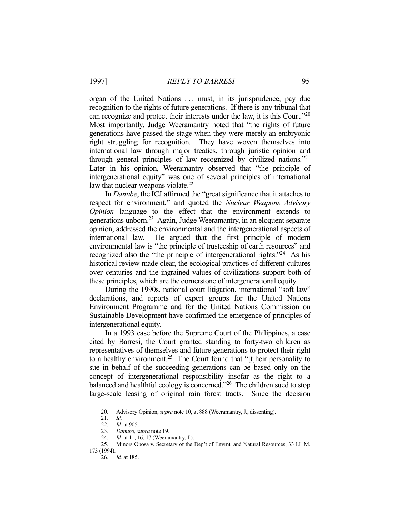organ of the United Nations ... must, in its jurisprudence, pay due recognition to the rights of future generations. If there is any tribunal that can recognize and protect their interests under the law, it is this Court."20 Most importantly, Judge Weeramantry noted that "the rights of future generations have passed the stage when they were merely an embryonic right struggling for recognition. They have woven themselves into international law through major treaties, through juristic opinion and through general principles of law recognized by civilized nations."21 Later in his opinion, Weeramantry observed that "the principle of intergenerational equity" was one of several principles of international law that nuclear weapons violate.<sup>22</sup>

 In *Danube*, the ICJ affirmed the "great significance that it attaches to respect for environment," and quoted the *Nuclear Weapons Advisory Opinion* language to the effect that the environment extends to generations unborn.23 Again, Judge Weeramantry, in an eloquent separate opinion, addressed the environmental and the intergenerational aspects of international law. He argued that the first principle of modern environmental law is "the principle of trusteeship of earth resources" and recognized also the "the principle of intergenerational rights."24 As his historical review made clear, the ecological practices of different cultures over centuries and the ingrained values of civilizations support both of these principles, which are the cornerstone of intergenerational equity.

 During the 1990s, national court litigation, international "soft law" declarations, and reports of expert groups for the United Nations Environment Programme and for the United Nations Commission on Sustainable Development have confirmed the emergence of principles of intergenerational equity.

 In a 1993 case before the Supreme Court of the Philippines, a case cited by Barresi, the Court granted standing to forty-two children as representatives of themselves and future generations to protect their right to a healthy environment.<sup>25</sup> The Court found that "[t]heir personality to sue in behalf of the succeeding generations can be based only on the concept of intergenerational responsibility insofar as the right to a balanced and healthful ecology is concerned."<sup>26</sup> The children sued to stop large-scale leasing of original rain forest tracts. Since the decision

<u>.</u>

 <sup>20.</sup> Advisory Opinion, *supra* note 10, at 888 (Weeramantry, J., dissenting).

 <sup>21.</sup> *Id.*

 <sup>22.</sup> *Id.* at 905.

 <sup>23.</sup> *Danube*, *supra* note 19.

<sup>24.</sup> *Id.* at 11, 16, 17 (Weeramantry, J.).<br>25. Minors Oposa v. Secretary of the

 <sup>25.</sup> Minors Oposa v. Secretary of the Dep't of Envmt. and Natural Resources, 33 I.L.M. 173 (1994).

 <sup>26.</sup> *Id.* at 185.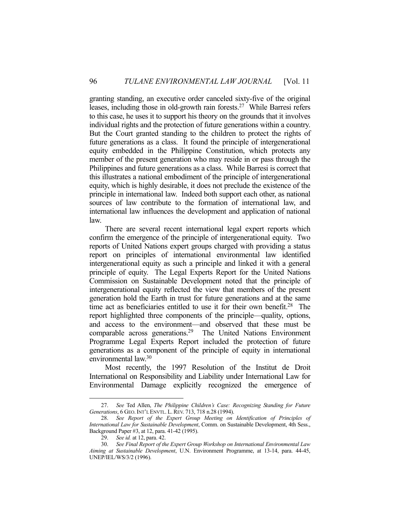granting standing, an executive order canceled sixty-five of the original leases, including those in old-growth rain forests.<sup>27</sup> While Barresi refers to this case, he uses it to support his theory on the grounds that it involves individual rights and the protection of future generations within a country. But the Court granted standing to the children to protect the rights of future generations as a class. It found the principle of intergenerational equity embedded in the Philippine Constitution, which protects any member of the present generation who may reside in or pass through the Philippines and future generations as a class. While Barresi is correct that this illustrates a national embodiment of the principle of intergenerational equity, which is highly desirable, it does not preclude the existence of the principle in international law. Indeed both support each other, as national sources of law contribute to the formation of international law, and international law influences the development and application of national law.

 There are several recent international legal expert reports which confirm the emergence of the principle of intergenerational equity. Two reports of United Nations expert groups charged with providing a status report on principles of international environmental law identified intergenerational equity as such a principle and linked it with a general principle of equity. The Legal Experts Report for the United Nations Commission on Sustainable Development noted that the principle of intergenerational equity reflected the view that members of the present generation hold the Earth in trust for future generations and at the same time act as beneficiaries entitled to use it for their own benefit.<sup>28</sup> The report highlighted three components of the principle—quality, options, and access to the environment—and observed that these must be comparable across generations.29 The United Nations Environment Programme Legal Experts Report included the protection of future generations as a component of the principle of equity in international environmental law.30

 Most recently, the 1997 Resolution of the Institut de Droit International on Responsibility and Liability under International Law for Environmental Damage explicitly recognized the emergence of

 <sup>27.</sup> *See* Ted Allen, *The Philippine Children's Case: Recognizing Standing for Future Generations*, 6 GEO.INT'L ENVTL. L.REV. 713, 718 n.28 (1994).

 <sup>28.</sup> *See Report of the Expert Group Meeting on Identification of Principles of International Law for Sustainable Development*, Comm. on Sustainable Development, 4th Sess., Background Paper #3, at 12, para. 41-42 (1995).

 <sup>29.</sup> *See id.* at 12, para. 42.

 <sup>30.</sup> *See Final Report of the Expert Group Workshop on International Environmental Law Aiming at Sustainable Development*, U.N. Environment Programme, at 13-14, para. 44-45, UNEP/IEL/WS/3/2 (1996).